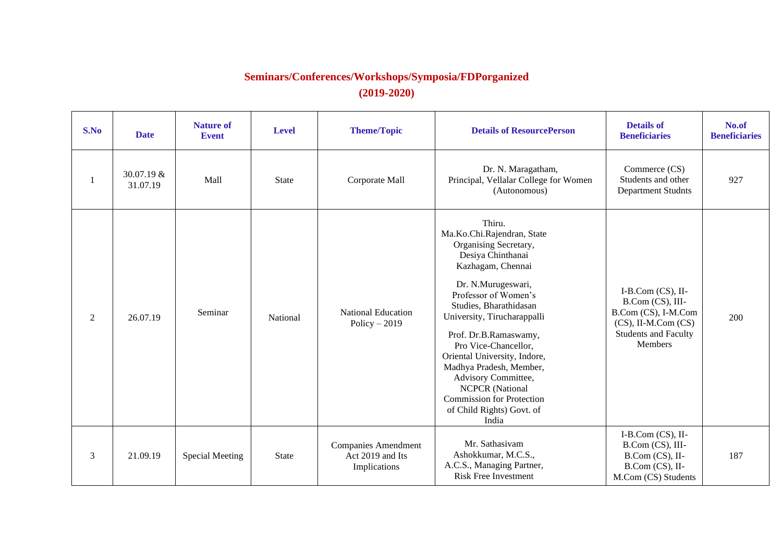## **Seminars/Conferences/Workshops/Symposia/FDPorganized (2019-2020)**

| S.No           | <b>Date</b>            | <b>Nature of</b><br><b>Event</b> | <b>Level</b> | <b>Theme/Topic</b>                                             | <b>Details of ResourcePerson</b>                                                                                                                                                                                                                                                                                                                                                                                                                      | <b>Details of</b><br><b>Beneficiaries</b>                                                                                                    | No.of<br><b>Beneficiaries</b> |
|----------------|------------------------|----------------------------------|--------------|----------------------------------------------------------------|-------------------------------------------------------------------------------------------------------------------------------------------------------------------------------------------------------------------------------------------------------------------------------------------------------------------------------------------------------------------------------------------------------------------------------------------------------|----------------------------------------------------------------------------------------------------------------------------------------------|-------------------------------|
| -1             | 30.07.19 &<br>31.07.19 | Mall                             | <b>State</b> | Corporate Mall                                                 | Dr. N. Maragatham,<br>Principal, Vellalar College for Women<br>(Autonomous)                                                                                                                                                                                                                                                                                                                                                                           | Commerce (CS)<br>Students and other<br><b>Department Studnts</b>                                                                             | 927                           |
| $\overline{2}$ | 26.07.19               | Seminar                          | National     | <b>National Education</b><br>Policy $-2019$                    | Thiru.<br>Ma.Ko.Chi.Rajendran, State<br>Organising Secretary,<br>Desiya Chinthanai<br>Kazhagam, Chennai<br>Dr. N.Murugeswari,<br>Professor of Women's<br>Studies, Bharathidasan<br>University, Tirucharappalli<br>Prof. Dr.B.Ramaswamy,<br>Pro Vice-Chancellor,<br>Oriental University, Indore,<br>Madhya Pradesh, Member,<br>Advisory Committee,<br><b>NCPCR</b> (National<br><b>Commission for Protection</b><br>of Child Rights) Govt. of<br>India | I-B.Com $(CS)$ , II-<br>B.Com (CS), III-<br>B.Com (CS), I-M.Com<br>$(CS)$ , II-M.Com $(CS)$<br><b>Students and Faculty</b><br><b>Members</b> | 200                           |
| 3              | 21.09.19               | <b>Special Meeting</b>           | <b>State</b> | <b>Companies Amendment</b><br>Act 2019 and Its<br>Implications | Mr. Sathasivam<br>Ashokkumar, M.C.S.,<br>A.C.S., Managing Partner,<br><b>Risk Free Investment</b>                                                                                                                                                                                                                                                                                                                                                     | I-B.Com $(CS)$ , II-<br>B.Com (CS), III-<br>B.Com (CS), II-<br>B.Com (CS), II-<br>M.Com (CS) Students                                        | 187                           |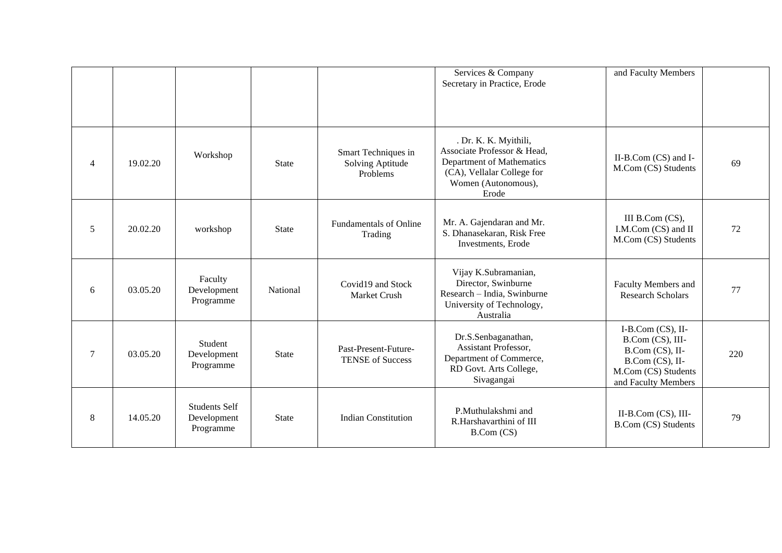|                 |          |                                                  |              |                                                     | Services & Company<br>Secretary in Practice, Erode                                                                                              | and Faculty Members                                                                                                          |     |
|-----------------|----------|--------------------------------------------------|--------------|-----------------------------------------------------|-------------------------------------------------------------------------------------------------------------------------------------------------|------------------------------------------------------------------------------------------------------------------------------|-----|
| $\overline{4}$  | 19.02.20 | Workshop                                         | <b>State</b> | Smart Techniques in<br>Solving Aptitude<br>Problems | . Dr. K. K. Myithili,<br>Associate Professor & Head,<br>Department of Mathematics<br>(CA), Vellalar College for<br>Women (Autonomous),<br>Erode | II-B.Com (CS) and I-<br>M.Com (CS) Students                                                                                  | 69  |
| 5               | 20.02.20 | workshop                                         | <b>State</b> | <b>Fundamentals of Online</b><br>Trading            | Mr. A. Gajendaran and Mr.<br>S. Dhanasekaran, Risk Free<br>Investments, Erode                                                                   | III B.Com (CS),<br>I.M.Com (CS) and II<br>M.Com (CS) Students                                                                | 72  |
| 6               | 03.05.20 | Faculty<br>Development<br>Programme              | National     | Covid19 and Stock<br>Market Crush                   | Vijay K.Subramanian,<br>Director, Swinburne<br>Research - India, Swinburne<br>University of Technology,<br>Australia                            | Faculty Members and<br><b>Research Scholars</b>                                                                              | 77  |
| $7\phantom{.0}$ | 03.05.20 | Student<br>Development<br>Programme              | <b>State</b> | Past-Present-Future-<br><b>TENSE of Success</b>     | Dr.S.Senbaganathan,<br>Assistant Professor,<br>Department of Commerce,<br>RD Govt. Arts College,<br>Sivagangai                                  | I-B.Com $(CS)$ , II-<br>B.Com (CS), III-<br>B.Com (CS), II-<br>B.Com (CS), II-<br>M.Com (CS) Students<br>and Faculty Members | 220 |
| $\,8\,$         | 14.05.20 | <b>Students Self</b><br>Development<br>Programme | <b>State</b> | <b>Indian Constitution</b>                          | P.Muthulakshmi and<br>R.Harshavarthini of III<br>B.Com (CS)                                                                                     | $II-B.Com$ (CS), $III-$<br>B.Com (CS) Students                                                                               | 79  |